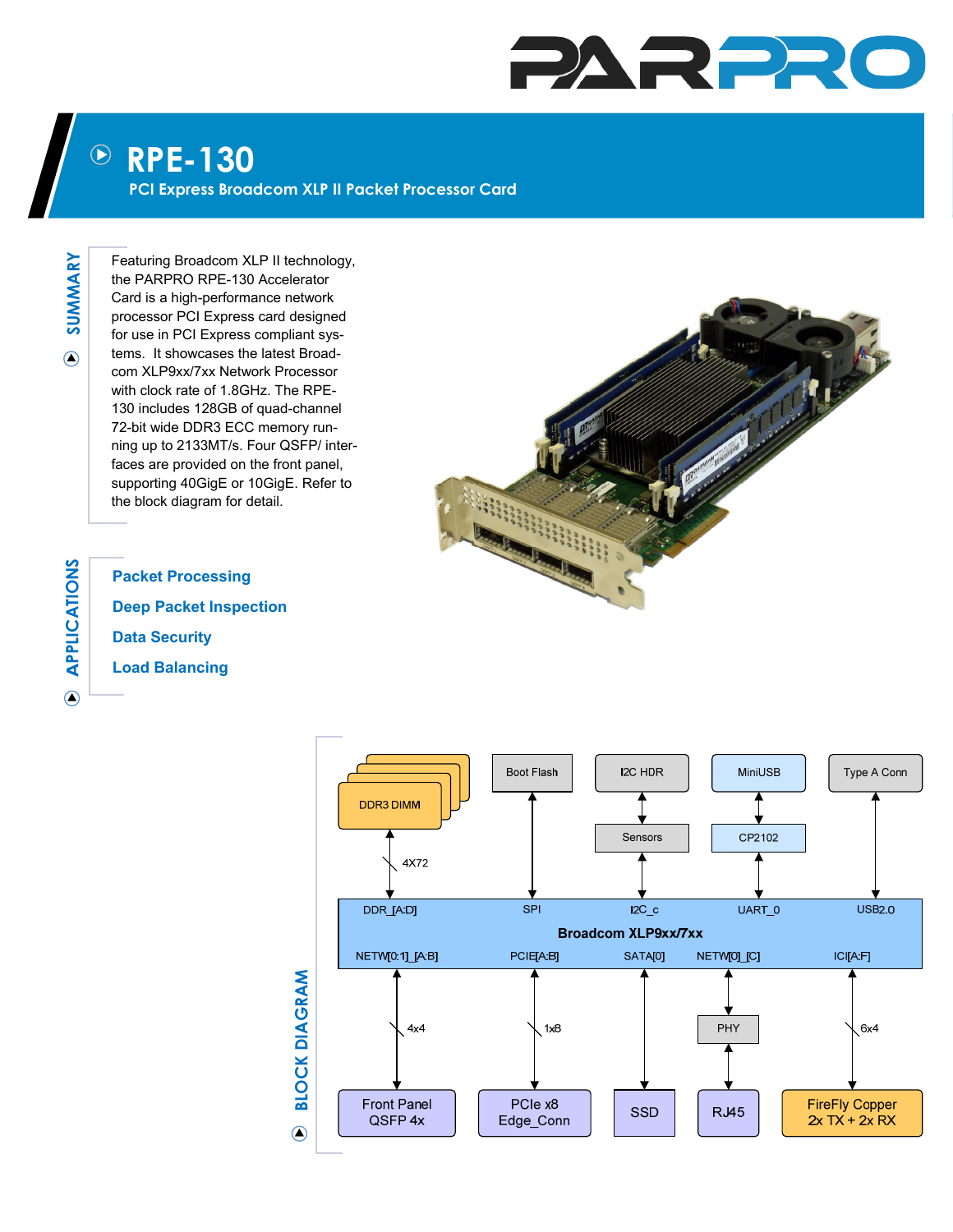## PARPRO

## **RPE-130**  $\left(\!\!\left.\rule{0pt}{12pt}\right)\!\!\right)$

**PCI Express Broadcom XLP II Packet Processor Card** 

**SUMMARY**  SUMMARY  $\odot$ 

Featuring Broadcom XLP II technology, the PARPRO RPE-130 Accelerator Card is a high-performance network processor PCI Express card designed for use in PCI Express compliant systems. It showcases the latest Broadcom XLP9xx/7xx Network Processor with clock rate of 1.8GHz. The RPE-130 includes 128GB of quad-channel 72-bit wide DDR3 ECC memory running up to 2133MT/s. Four QSFP/ interfaces are provided on the front panel, supporting 40GigE or 10GigE. Refer to the block diagram for detail.



**APPLICATIONS PPLICATIONS**  $\bigcirc$ 

**Packet Processing Deep Packet Inspection Data Security Load Balancing**